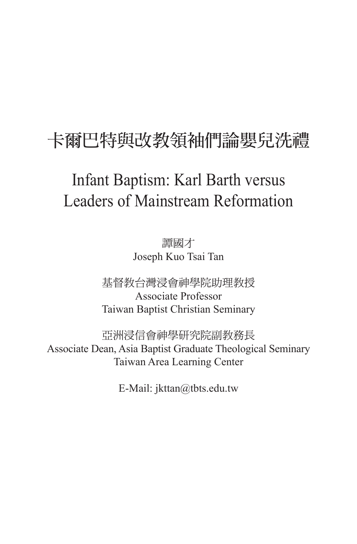## 卡爾巴特與改教領袖們論嬰兒洗禮

## Infant Baptism: Karl Barth versus Leaders of Mainstream Reformation

譚國才 Joseph Kuo Tsai Tan

基督教台灣浸會神學院助理教授 Associate Professor Taiwan Baptist Christian Seminary

亞洲浸信會神學研究院副教務長 Associate Dean, Asia Baptist Graduate Theological Seminary Taiwan Area Learning Center

E-Mail: jkttan@tbts.edu.tw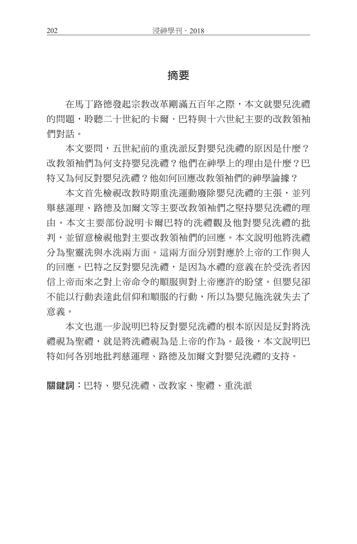## 摘要

在馬丁路德發起宗教改革剛滿五百年之際,本文就嬰兒洗禮 的問題,聆聽二十世紀的卡爾,巴特與十六世紀主要的改教領袖 們對話。

本文要問,五世紀前的重洗派反對嬰兒洗禮的原因是什麼? 改教領袖們為何支持嬰兒洗禮?他們在神學上的理由是什麼?巴 特又為何反對嬰兒洗禮?他如何回應改教領袖們的神學論據?

本文首先檢視改教時期重洗運動廢除嬰兒洗禮的主張,並列 舉慈運理、路德及加爾文等主要改教領袖們之堅持嬰兒洗禮的理 由。本文主要部份說明卡爾巴特的洗禮觀及他對嬰兒洗禮的批 判,並留意檢視他對主要改教領袖們的回應。本文說明他將洗禮 分為聖靈洗與水洗兩方面。這兩方面分別對應於上帝的工作與人 的回應。巴特之反對嬰兒洗禮,是因為水禮的意義在於受洗者因 信上帝而來之對上帝命令的順服與對上帝應許的盼望。但嬰兒卻 不能以行動表達此信仰和順服的行動,所以為嬰兒施洗就失去了 意義。

本文也進一步說明巴特反對嬰兒洗禮的根本原因是反對將洗 禮視為聖禮,就是將洗禮視為是上帝的作為。最後,本文說明巴 特如何各別地批判慈運理、路德及加爾文對嬰兒洗禮的支持。

關鍵詞:巴特、嬰兒洗禮、改教家、聖禮、重洗派